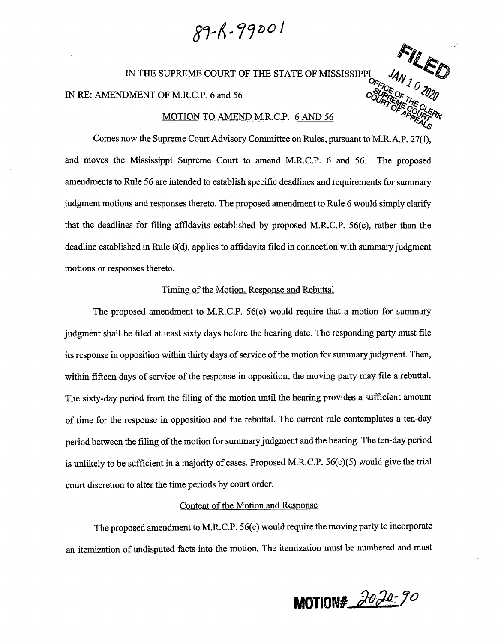$89 - K - 99001$ 

IN THE SUPREME COURT OF THE STATE OF MISSISSIPPI  $\mathcal{A}_{M}$ ,

IN RE: AMENDMENT OF M.R.C.P. 6 and 56 **coupled**  $\frac{1}{2}$ 

### MOTION TO AMEND M.R.C.P. 6 AND 56

Comes now the Supreme Court Advisory Committee on Rules, pursuant to M.R.A.P. 27(f), and moves the Mississippi Supreme Court to amend M.R.C.P. 6 and 56. The proposed amendments to Rule 56 are intended to establish specific deadlines and requirements for summary judgment motions and responses thereto. The proposed amendment to Rule 6 would simply clarify that the deadlines for filing affidavits established by proposed M.R.C.P. 56(c), rather than the deadline established in Rule 6(d), applies to affidavits filed in connection with summary judgment motions or responses thereto.

## Timing of the Motion, Response and Rebuttal

The proposed amendment to M.R.C.P. 56(c) would require that a motion for summary judgment shall be filed at least sixty days before the hearing date. The responding party must file its response in opposition within thirty days of service of the motion for summary judgment. Then, within fifteen days of service of the response in opposition, the moving party may file a rebuttal. The sixty-day period from the filing of the motion until the hearing provides a sufficient amount of time for the response in opposition and the rebuttal. The current rule contemplates a ten-day period between the filing of the motion for summary judgment and the hearing. The ten-day period is unlikely to be sufficient in a majority of cases. Proposed M.R.C.P. 56(c)(5) would give the trial court discretion to alter the time periods by court order.

# Content of the Motion and Response

The proposed amendment to M.R.C.P. 56(c) would require the moving party to incorporate an itemization of undisputed facts into the motion. The itemization must be numbered and must

**MOTION#** *Jo~ Jo.* 

 $F$  *I*  $\ell$ 

 $O_{F_{F/C_{\rho}}}$  " $\vee$   $\vee$   $O$ 

ATEME<sup>NHE</sup><br>OF COLLER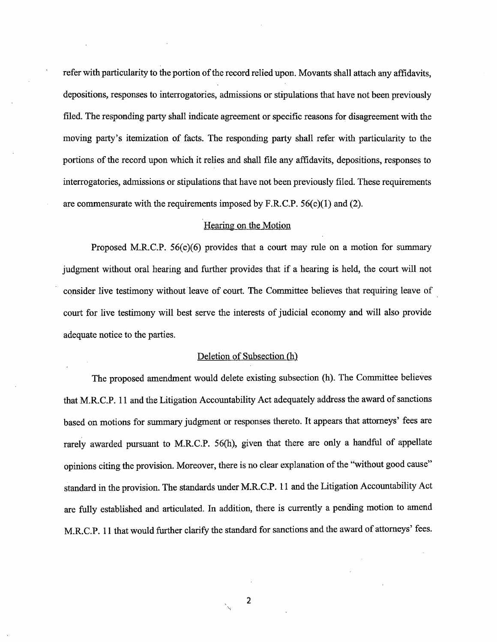refer with particularity to the portion of the record relied upon. Movants shall attach any affidavits, depositions, responses to interrogatories, admissions or stipulations that have not been previously filed. The responding party shall indicate agreement or specific reasons for disagreement with the moving party's itemization of facts. The responding party shall refer with particularity to the portions of the record upon which it relies and shall file any affidavits, depositions, responses to interrogatories, admissions or stipulations that have not been previously filed. These requirements are commensurate with the requirements imposed by F.R.C.P.  $56(c)(1)$  and (2).

### Hearing on the Motion

Proposed M.R.C.P. 56(c)(6) provides that a court may rule on a motion for summary judgment without oral hearing and further provides that if a hearing is held, the court will not consider live testimony without'leave of court. The Committee believes that requiring leave of . court for live testimony will best serve the interests of judicial economy and will also provide adequate notice to the parties.

#### Deletion of Subsection (h)

The proposed amendment would delete existing subsection (h). The Committee believes that M.R.C.P. 11 and the Litigation Accountability Act adequately address the award of sanctions based on motions for summary judgment or responses thereto. It appears that attorneys' fees are rarely awarded pursuant to M.R.C.P. 56(h), given that there are only a handful of appellate opinions citing the provision. Moreover, there is no clear explanation of the "without good cause" standard in the provision. The standards under M.R.C.P. 11 and the Litigation Accountability Act are fully established and articulated. In addition, there is currently a pending motion to amend M.R.C.P. 11 that would further clarify the standard for sanctions and the award of attorneys' fees.

2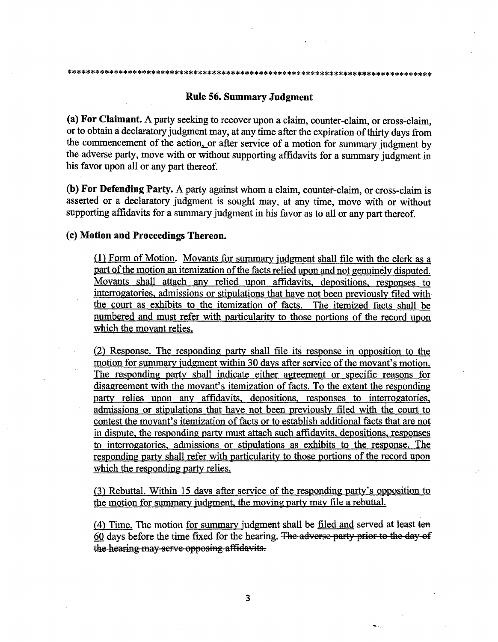# **Rule 56. Summary Judgment**

**(a) For Claimant.** A party seeking to recover upon a claim, counter-claim, or cross-claim, or to obtain a declaratory judgment may, at any time after the expiration of thirty days from the commencement of the action, or after service of a motion for summary judgment by the adverse party, move with or without supporting affidavits for a summary judgment in his favor upon all or any part thereof.

**(b) For Defending Party.** A party against whom a claim, counter-claim, or cross-claim is asserted or a declaratory judgment is sought may, at any time, move with or without supporting affidavits for a summary judgment in his favor as to all or any part thereof.

# **(c) Motion and Proceedings Thereon.**

(1) Form of Motion. Movants for summary judgment shall file with the clerk as a part of the motion an itemization of the facts relied upon and not genuinely disputed. Movants shall attach any relied upon affidavits, depositions, responses to interrogatories, admissions or stipulations that have not been previously filed with the court as exhibits to the itemization of facts. The itemized facts shall be numbered and must refer with particularity to those portions of the record upon which the movant relies.

(2) Response. The responding party shall file its response in opposition to the motion for summary judgment within 30 days after service of the movant's motion. The responding party shall indicate either agreement or specific reasons for disagreement with the movant's itemization of facts. To the extent the responding party relies upon any affidavits, depositions, responses to interrogatories, admissions or stipulations that have not been previously filed with the court to contest the movant's itemization of facts or to establish additional facts that are not in dispute, the responding party must attach such affidavits, depositions, responses to interrogatories, admissions or stipulations as exhibits to the response. The responding party shall refer with particularity to those portions of the record upon which the responding party relies.

(3) Rebuttal. Within 15 days after service of the responding party's opposition to the motion for summary judgment, the moving party may file a rebuttal.

(4) Time. The motion for summary judgment shall be filed and served at least tea  $60$  days before the time fixed for the hearing. The adverse party prior to the day of the hearing may serve opposing affidavits.

~--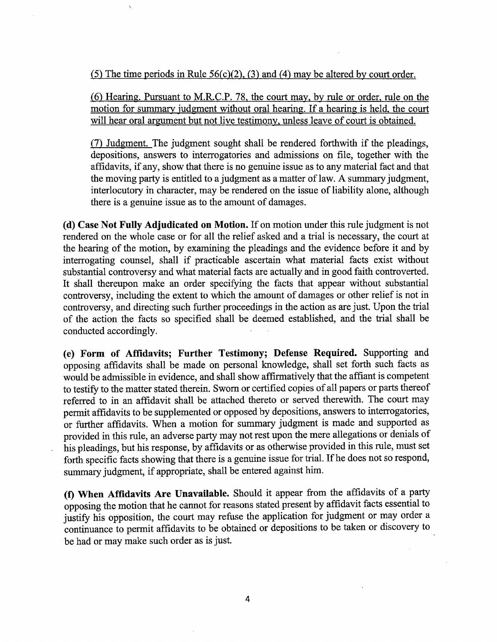(5) The time periods in Rule  $56(c)(2)$ , (3) and (4) may be altered by court order.

(6) Hearing. Pursuant to M.R.C.P. 78, the court may, by rule or order, rule on the motion for summary judgment without oral hearing. If a hearing is held, the court will hear oral argument but not live testimony, unless leave of court is obtained.

(7) Judgment. The judgment sought shall be rendered forthwith if the pleadings, depositions, answers to interrogatories and admissions on file, together with the affidavits, if any, show that there is no genuine issue as to any material fact and that the moving party is entitled to a judgment as a matter of law. A summary judgment, interlocutory in character, may be rendered on the issue of liability alone, although there is a genuine issue as to the amount of damages.

**(d) Case Not Fully Adjudicated on Motion.** If on motion under this rule judgment is not rendered on the whole case or for all the relief asked and a trial is necessary, the court at the hearing of the motion, by examining the pleadings and the evidence before it and by interrogating counsel, shall if practicable ascertain what material facts exist without substantial controversy and what material facts are actually and in good faith controverted. It shall thereupon make an order specifying the facts that appear without substantial controversy, including the extent to which the amount of damages or other relief is not in controversy, and directing such further proceedings in the action as are just. Upon the trial of the action the facts so specified shall be deemed established, and the trial shall be conducted accordingly.

**(e) Form of Affidavits; Further Testimony; Defense Required.** Supporting and opposing affidavits shall be made on personal knowledge, shall set forth such facts as would be admissible in evidence, and shall show affirmatively that the affiant is competent to testify to the matter stated therein. Sworn or certified copies of all papers or parts thereof referred to in an affidavit shall be attached thereto or served therewith. The court may permit affidavits to be supplemented or opposed by depositions, answers to interrogatories, or further affidavits. When a motion for summary judgment is made and supported as provided in this rule, an adverse party may not rest upon the mere allegations or denials of his pleadings, but his response, by affidavits or as otherwise provided in this rule, must set forth specific facts showing that there is a genuine issue for trial. If he does not so respond, summary judgment, if appropriate, shall be entered against him.

**(f) When Affidavits Are Unavailable.** Should it appear from the affidavits of a party opposing the motion that he cannot for reasons stated present by affidavit facts essential to justify his opposition, the court may refuse the application for judgment or may order a continuance to permit affidavits to be obtained or depositions to be taken or discovery to be had or may make such order as is just.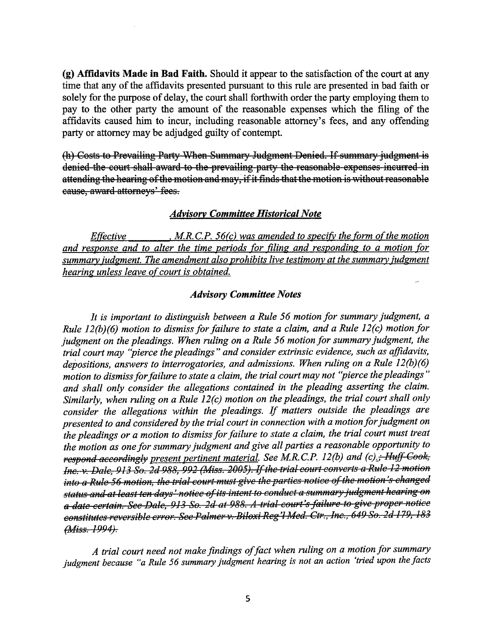**(g) Affidavits Made in Bad Faith.** Should it appear to the satisfaction of the court at any time that any of the affidavits presented pursuant to this rule are presented in bad faith or solely for the purpose of delay, the court shall forthwith order the party employing them to pay to the other party the amount of the reasonable expenses which the filing of the affidavits caused him to incur, including reasonable attorney's fees, and any offending party or attorney may be adjudged guilty of contempt.

(h) Costs to Prevailing Party When Summary Judgment Denied. If summary judgment is denied the court shall award to the prevailing party the reasonable expenses incurred in attending the hearing of the motion and may, if it finds that the motion is without reasonable eause, award attorneys' fees.

# *Advisory Committee Historical Note*

*Effective* **•**  *M.R.C.P. 56(c)* was amended to specify the form of the motion *and response and to alter the time periods for filing and responding to a motion for summary iudgment. The amendment also prohibits live testimony at the summary iudgment hearing unless leave of court is obtained.* 

# *Advisory Committee Notes*

*It is important to distinguish between a Rule 56 motion for summary judgment, a Rule 12(b)(6) motion to dismiss for failure to state a claim, and a Rule 12(c) motion for judgment on the pleadings. When ruling on a Rule 56 motion for summary judgment, the trial court may "pierce the pleadings" and consider extrinsic evidence, such as affidavits, depositions, answers to interrogatories, and admissions. When ruling on a Rule 12(b)(6) motion to dismiss for failure to state a claim, the trial court may not ''pierce the pleadings* " *and shall only consider the allegations contained in the pleading asserting the claim. Similarly, when ruling on a Rule 12(c) motion on the pleadings, the trial court shall only consider the allegations within the pleadings. If matters outside the pleadings are presented to and considered by the trial court in connection with a motion for judgment on the pleadings or a motion to dismiss for failure to state a claim, the trial court must treat*  the motion as one for summary judgment and give all parties a reasonable opportunity to *1 respond accordingly present pertinent material. See M.R.C.P. 12(b) and (c)*; *Huff Cook, Inc. v. Dale, 913 So. 2d 988, 992 (Miss. 2005). If the trial court converts a Rule 12 motion into a Rule 56 motion, the trial court must give the parties notice of the motion's changed status and at least ten days' notice of its intent to conduct a summary judgment hearing on a date eer-tain. See Dale, 913 Se. 2d at 988. A tf'i8l eeu,=t's faUure te give p1'-Bper netiee eenstitutes 1"€!versihle e1"1"8r. See P8lmeF v. Rilexi Reg'LUed. Ctr., !ne., 649 Se. 2d* .l *79, 183 (Jtliss. 1994).* 

*A trial court need not make findings of fact when ruling on a motion for summary judgment because "a Rule 56 summary judgment hearing is not an action 'tried upon the facts*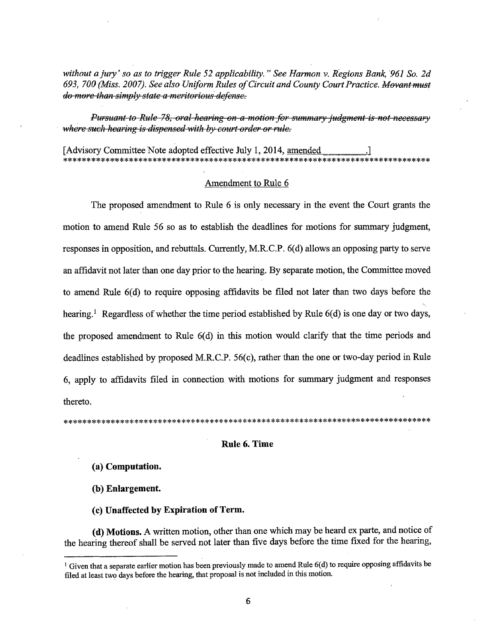*without a jury' so as to trigger Rule 52 applicability." See Harmon v. Regions Bank, '961 So. 2d 693, 700 (Miss. 2007). See also Uniform Rules of Circuit and County Court Practice. }.1ew1ntmust do more than simply state a meritorious defense.* 

*Pursuant to Rule 78, oral hearing on a motion for summary judgment is not necessary where such hearing is dispensed with by court order or rule.* 

[Advisory Committee Note adopted effective July 1, 2014, amended \*\*\*\*\*\*\*\*\*\*\*\*\*\*\*\*\*\*\*\*\*\*\*\*\*\*\*\*\*\*\*\*\*\*\*\*\*\*\*\*\*\*\*\*\*\*\*\*\*\*\*\*\*\*\*\*\*\*\*\*\*\*\*\*\*\*\*\*\*\*\*\*\*\*\*\*\*\*

## Amendment to Rule 6

The proposed amendment to Rule 6 is only necessary in the event the Court grants the motion to amend Rule 56 so as to establish the deadlines for motions for summary judgment, responses in opposition, and rebuttals. Currently, M.R.C.P. 6(d) allows an opposing party to serve an affidavit not later than one day prior to the hearing. By separate motion, the Committee moved to amend Rule  $6(d)$  to require opposing affidavits be filed not later than two days before the hearing.<sup>1</sup> Regardless of whether the time period established by Rule  $6(d)$  is one day or two days, the proposed amendment to Rule  $6(d)$  in this motion would clarify that the time periods and deadlines established by proposed M.R.C.P. 56(c), rather than the one or two-day period in Rule 6, apply to affidavits filed in connection with motions for summary judgment and responses thereto.

\*\*\*\*\*\*\*\*\*\*\*\*\*\*\*\*\*\*\*\*\*\*\*\*\*\*\*\*\*\*\*\*\*\*\*\*\*\*\*\*\*\*\*\*\*\*\*\*\*\*\*\*\*\*\*\*\*\*\*\*\*\*\*\*\*\*\*\*\*\*\*\*\*\*\*\*\*\*

#### **Rule 6. Time**

**(a) Computation.** 

**(b) Enlargement.** 

**(c) Unaffected by Expiration of Term.** 

( **d) Motions.** A written motion, other than one which may be heard ex parte, and notice of the hearing thereof shall be served not later than five days before the time fixed for the hearing,

<sup>&</sup>lt;sup>1</sup> Given that a separate earlier motion has been previously made to amend Rule 6(d) to require opposing affidavits be filed at least two days before the hearing, that proposal is not included in this motion.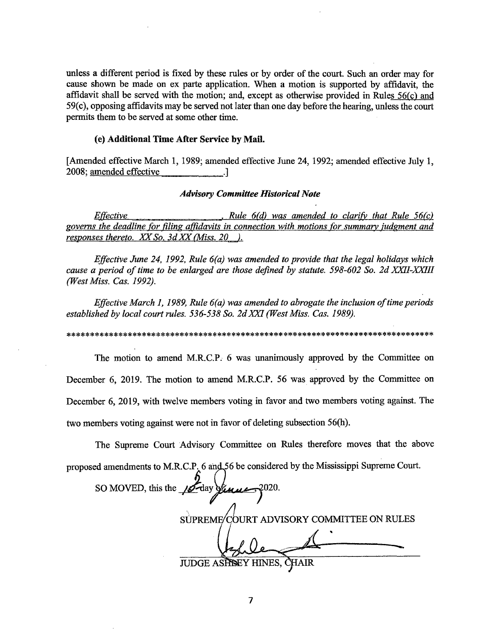unless a different period is fixed by these rules or by order of the court. Such an order may for cause shown be made on ex parte application. When a motion is supported by affidavit, the affidavit shall be served with the motion; and, except as otherwise provided in Rules 56(c) and 59( c ), opposing affidavits may be served not later than one day before the hearing, unless the court permits them to be served at some other time.

# (e) **Additional Time After Service by Mail.**

[Amended effective March 1, 1989; amended effective June 24, 1992; amended effective July 1, 2008; amended effective ...

## *Advisory Committee Historical Note*

*Effective* , *Rule 6(d) was amended to clarify that Rule 56(c) governs the deadline for filing affidavits in connection with motions for summary iudgment and responses thereto. XX So. 3d XX (Miss. 20 ).* 

*Effective June 24, 1992, Rule 6(a) was amended to provide that the legal holidays which cause a period of time to be enlarged are those defined by statute. 598-602 So. 2d XXII-XXI/1 (West Miss. Cas. 1992).* 

*Effective March 1, 1989, Rule 6(a) was amended to abrogate the inclusion of time periods established by local court rules. 536-538 So. 2d XXI (West Miss. Cas. 1989).* 

\*\*\*\*\*\*\*\*\*\*\*\*\*\*\*\*\*\*\*\*\*\*\*\*\*\*\*\*\*\*\*\*\*\*\*\*\*\*\*\*\*\*\*\*\*\*\*\*\*\*\*\*\*\*\*\*\*\*\*\*\*\*\*\*\*\*\*\*\*\*\*\*\*\*\*\*\*\*

The motion to amend M.R.C.P. 6 was unanimously approved by the Committee on December 6, 2019. The motion to amend M.R.C.P. 56 was approved by the Committee on December 6, 2019, with twelve members voting in favor and two members voting against. The two members voting against were not in favor of deleting subsection 56(h).

The Supreme Court Advisory Committee on Rules therefore moves that the above proposed amendments to M.R.C.P. 6 and 56 be considered by the Mississippi Supreme Court.

SO MOVED, this the 18 day of www. SUPREME COURT ADVISORY COMMITTEE ON RULES **JUDGE ASHBEY HINES,** R